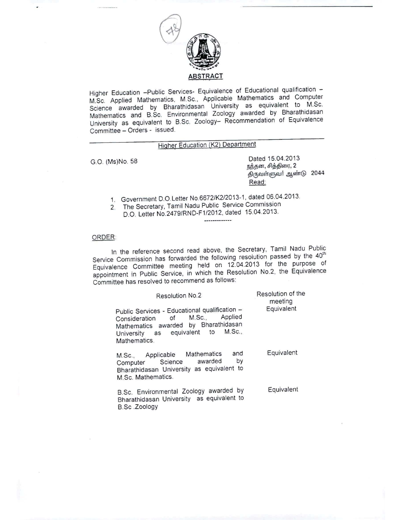

Higher Education -Public Services- Equivalence of Educational qualification -M.Sc. Applied Mathematics, M.Sc., Applicable Mathematics and Computer Science awarded by Bharathidasan University as equivalent to M.Sc. Mathematics and B.Sc. Environmental Zoology awarded by Bharathidasan University as equivalent to B.Sc. Zoology- Recommendation of Equivalence Committee - Orders - issued.

## Higher Education (K2) Department

G.O. (Ms)No. 58 Dated 15.04.2013 நந்தன, சித்திரை, 2 திருவள்ளுவர் ஆண்டு 2044 Read:

- 1. Government D.O.Letter NO.6672/K2/2013-1. dated 06.04.2013.
- 2. The Secretary, Tamil Nadu Public Service Commission D.O. Letter NO.2479/RND-F1/2012, dated 15.04.2013. .............

## ORDER:

In the reference second read above, the Secretary, Tamil Nadu Public Service Commission has forwarded the following resolution passed by the 40<sup>th</sup> Equivalence Committee meeting held on 12.04.2013 for the purpose of appointment in Public Service, in which the Resolution NO.2, the Equivalence Committee has resolved to recommend as follows:

| <b>Resolution No.2</b>                                                                                                                                                               | Resolution of the<br>meeting |
|--------------------------------------------------------------------------------------------------------------------------------------------------------------------------------------|------------------------------|
| Public Services - Educational qualification -<br>Applied<br>$M.Sc$<br>Consideration of<br>Mathematics awarded by Bharathidasan<br>University as equivalent to M.Sc.,<br>Mathematics. | Equivalent                   |
| and<br>M.Sc., Applicable Mathematics<br>by<br>Computer Science awarded<br>Bharathidasan University as equivalent to<br>M.Sc. Mathematics.                                            | Equivalent                   |
| B.Sc. Environmental Zoology awarded by<br>Bharathidasan University as equivalent to<br>B.Sc.Zoology                                                                                  | Equivalent                   |